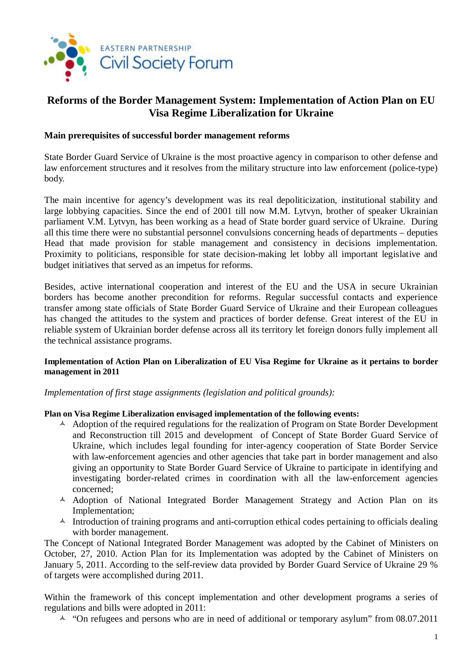

# **Reforms of the Border Management System: Implementation of Action Plan on EU Visa Regime Liberalization for Ukraine**

### **Main prerequisites of successful border management reforms**

State Border Guard Service of Ukraine is the most proactive agency in comparison to other defense and law enforcement structures and it resolves from the military structure into law enforcement (police-type) body.

The main incentive for agency's development was its real depoliticization, institutional stability and large lobbying capacities. Since the end of 2001 till now M.M. Lytvyn, brother of speaker Ukrainian parliament V.M. Lytvyn, has been working as a head of State border guard service of Ukraine. During all this time there were no substantial personnel convulsions concerning heads of departments – deputies Head that made provision for stable management and consistency in decisions implementation. Proximity to politicians, responsible for state decision-making let lobby all important legislative and budget initiatives that served as an impetus for reforms.

Besides, active international cooperation and interest of the EU and the USA in secure Ukrainian borders has become another precondition for reforms. Regular successful contacts and experience transfer among state officials of State Border Guard Service of Ukraine and their European colleagues has changed the attitudes to the system and practices of border defense. Great interest of the EU in reliable system of Ukrainian border defense across all its territory let foreign donors fully implement all the technical assistance programs.

#### **Implementation of Action Plan on Liberalization of EU Visa Regime for Ukraine as it pertains to border management in 2011**

*Implementation of first stage assignments (legislation and political grounds):* 

#### **Plan on Visa Regime Liberalization envisaged implementation of the following events:**

- $\triangle$  Adoption of the required regulations for the realization of Program on State Border Development and Reconstruction till 2015 and development of Concept of State Border Guard Service of Ukraine, which includes legal founding for inter-agency cooperation of State Border Service with law-enforcement agencies and other agencies that take part in border management and also giving an opportunity to State Border Guard Service of Ukraine to participate in identifying and investigating border-related crimes in coordination with all the law-enforcement agencies concerned;
- <sup>A</sup> Adoption of National Integrated Border Management Strategy and Action Plan on its Implementation;
- $\triangle$  Introduction of training programs and anti-corruption ethical codes pertaining to officials dealing with border management.

The Concept of National Integrated Border Management was adopted by the Cabinet of Ministers on October, 27, 2010. Action Plan for its Implementation was adopted by the Cabinet of Ministers on January 5, 2011. According to the self-review data provided by Border Guard Service of Ukraine 29 % of targets were accomplished during 2011.

Within the framework of this concept implementation and other development programs a series of regulations and bills were adopted in 2011:

 $\sim$  "On refugees and persons who are in need of additional or temporary asylum" from 08.07.2011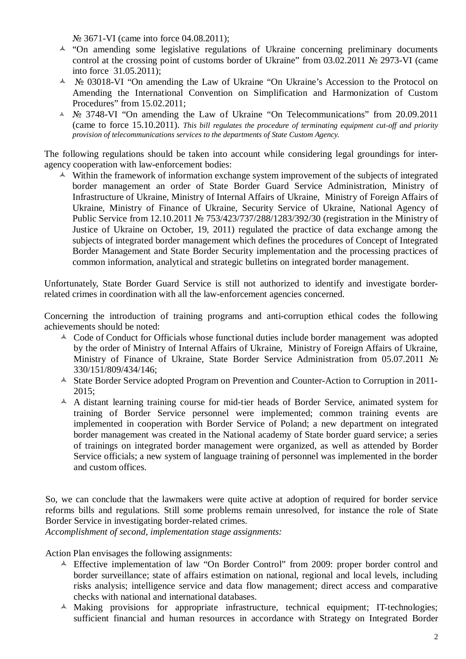№ 3671-VI (came into force 04.08.2011);

- $\lambda$  "On amending some legislative regulations of Ukraine concerning preliminary documents control at the crossing point of customs border of Ukraine" from 03.02.2011 № 2973-VI (came into force 31.05.2011);
- ñ № 03018-VI "On amending the Law of Ukraine "On Ukraine's Accession to the Protocol on Amending the International Convention on Simplification and Harmonization of Custom Procedures" from 15.02.2011;
- ñ № 3748-VI "On amending the Law of Ukraine "On Telecommunications" from 20.09.2011 (came to force 15.10.2011). *This bill regulates the procedure of terminating equipment cut-off and priority provision of telecommunications services to the departments of State Custom Agency.*

The following regulations should be taken into account while considering legal groundings for interagency cooperation with law-enforcement bodies:

 $\triangle$  Within the framework of information exchange system improvement of the subjects of integrated border management an order of State Border Guard Service Administration, Ministry of Infrastructure of Ukraine, Ministry of Internal Affairs of Ukraine, Ministry of Foreign Affairs of Ukraine, Ministry of Finance of Ukraine, Security Service of Ukraine, National Agency of Public Service from 12.10.2011 № 753/423/737/288/1283/392/30 (registration in the Ministry of Justice of Ukraine on October, 19, 2011) regulated the practice of data exchange among the subjects of integrated border management which defines the procedures of Concept of Integrated Border Management and State Border Security implementation and the processing practices of common information, analytical and strategic bulletins on integrated border management.

Unfortunately, State Border Guard Service is still not authorized to identify and investigate borderrelated crimes in coordination with all the law-enforcement agencies concerned.

Concerning the introduction of training programs and anti-corruption ethical codes the following achievements should be noted:

- $\triangle$  Code of Conduct for Officials whose functional duties include border management was adopted by the order of Ministry of Internal Affairs of Ukraine, Ministry of Foreign Affairs of Ukraine, Ministry of Finance of Ukraine, State Border Service Administration from 05.07.2011 № 330/151/809/434/146;
- <sup> $\triangle$ </sup> State Border Service adopted Program on Prevention and Counter-Action to Corruption in 2011- $2015:$
- $\triangle$  A distant learning training course for mid-tier heads of Border Service, animated system for training of Border Service personnel were implemented; common training events are implemented in cooperation with Border Service of Poland; a new department on integrated border management was created in the National academy of State border guard service; a series of trainings on integrated border management were organized, as well as attended by Border Service officials; a new system of language training of personnel was implemented in the border and custom offices.

So, we can conclude that the lawmakers were quite active at adoption of required for border service reforms bills and regulations. Still some problems remain unresolved, for instance the role of State Border Service in investigating border-related crimes.

*Accomplishment of second, implementation stage assignments:* 

Action Plan envisages the following assignments:

- $\triangle$  Effective implementation of law "On Border Control" from 2009: proper border control and border surveillance; state of affairs estimation on national, regional and local levels, including risks analysis; intelligence service and data flow management; direct access and comparative checks with national and international databases.
- $\triangle$  Making provisions for appropriate infrastructure, technical equipment; IT-technologies; sufficient financial and human resources in accordance with Strategy on Integrated Border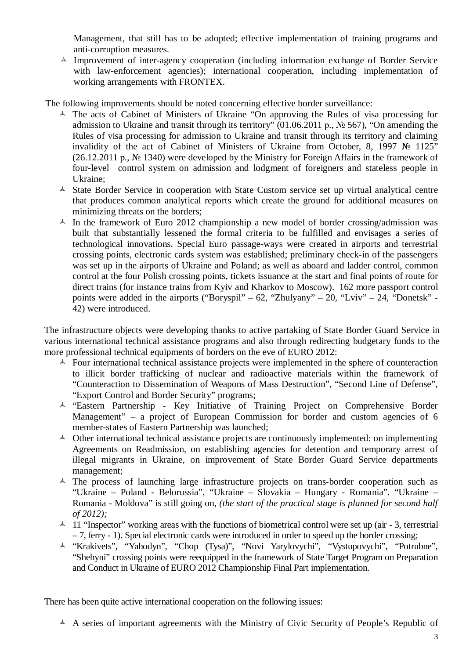Management, that still has to be adopted; effective implementation of training programs and anti-corruption measures.

 $\triangle$  Improvement of inter-agency cooperation (including information exchange of Border Service with law-enforcement agencies); international cooperation, including implementation of working arrangements with FRONTEX.

The following improvements should be noted concerning effective border surveillance:

- $\triangle$  The acts of Cabinet of Ministers of Ukraine "On approving the Rules of visa processing for admission to Ukraine and transit through its territory" (01.06.2011 р., № 567), "On amending the Rules of visa processing for admission to Ukraine and transit through its territory and claiming invalidity of the act of Cabinet of Ministers of Ukraine from October, 8, 1997 № 1125" (26.12.2011 р., № 1340) were developed by the Ministry for Foreign Affairs in the framework of four-level control system on admission and lodgment of foreigners and stateless people in Ukraine;
- <sup>A</sup> State Border Service in cooperation with State Custom service set up virtual analytical centre that produces common analytical reports which create the ground for additional measures on minimizing threats on the borders;
- $\triangle$  In the framework of Euro 2012 championship a new model of border crossing/admission was built that substantially lessened the formal criteria to be fulfilled and envisages a series of technological innovations. Special Euro passage-ways were created in airports and terrestrial crossing points, electronic cards system was established; preliminary check-in of the passengers was set up in the airports of Ukraine and Poland; as well as aboard and ladder control, common control at the four Polish crossing points, tickets issuance at the start and final points of route for direct trains (for instance trains from Kyiv and Kharkov to Moscow). 162 more passport control points were added in the airports ("Boryspil" – 62, "Zhulyany" – 20, "Lviv" – 24, "Donetsk" -42) were introduced.

The infrastructure objects were developing thanks to active partaking of State Border Guard Service in various international technical assistance programs and also through redirecting budgetary funds to the more professional technical equipments of borders on the eve of EURO 2012:

- $\triangle$  Four international technical assistance projects were implemented in the sphere of counteraction to illicit border trafficking of nuclear and radioactive materials within the framework of "Counteraction to Dissemination of Weapons of Mass Destruction", "Second Line of Defense", "Export Control and Border Security" programs;
- ñ "Eastern Partnership Key Initiative of Training Project on Comprehensive Border Management" – a project of European Commission for border and custom agencies of 6 member-states of Eastern Partnership was launched;
- $\triangle$  Other international technical assistance projects are continuously implemented: on implementing Agreements on Readmission, on establishing agencies for detention and temporary arrest of illegal migrants in Ukraine, on improvement of State Border Guard Service departments management;
- $\triangle$  The process of launching large infrastructure projects on trans-border cooperation such as "Ukraine – Poland - Belorussia", "Ukraine – Slovakia – Hungary - Romania". "Ukraine – Romania - Moldova" is still going on, *(the start of the practical stage is planned for second half of 2012);*
- $\lambda$  11 "Inspector" working areas with the functions of biometrical control were set up (air 3, terrestrial – 7, ferry - 1). Special electronic cards were introduced in order to speed up the border crossing;
- ñ "Krakivets", "Yahodyn", "Chop (Tysa)", "Novi Yarylovychi", "Vystupovychi", "Potrubne", "Shehyni" crossing points were reequipped in the framework of State Target Program on Preparation and Conduct in Ukraine of EURO 2012 Championship Final Part implementation.

There has been quite active international cooperation on the following issues:

 $\triangle$  A series of important agreements with the Ministry of Civic Security of People's Republic of